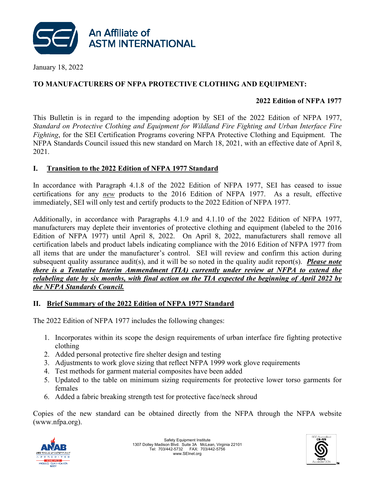

January 18, 2022

### **TO MANUFACTURERS OF NFPA PROTECTIVE CLOTHING AND EQUIPMENT:**

### **2022 Edition of NFPA 1977**

This Bulletin is in regard to the impending adoption by SEI of the 2022 Edition of NFPA 1977, *Standard on Protective Clothing and Equipment for Wildland Fire Fighting and Urban Interface Fire Fighting*, for the SEI Certification Programs covering NFPA Protective Clothing and Equipment. The NFPA Standards Council issued this new standard on March 18, 2021, with an effective date of April 8, 2021.

### **I. Transition to the 2022 Edition of NFPA 1977 Standard**

In accordance with Paragraph 4.1.8 of the 2022 Edition of NFPA 1977, SEI has ceased to issue certifications for any *new* products to the 2016 Edition of NFPA 1977. As a result, effective immediately, SEI will only test and certify products to the 2022 Edition of NFPA 1977.

Additionally, in accordance with Paragraphs 4.1.9 and 4.1.10 of the 2022 Edition of NFPA 1977, manufacturers may deplete their inventories of protective clothing and equipment (labeled to the 2016 Edition of NFPA 1977) until April 8, 2022. On April 8, 2022, manufacturers shall remove all certification labels and product labels indicating compliance with the 2016 Edition of NFPA 1977 from all items that are under the manufacturer's control. SEI will review and confirm this action during subsequent quality assurance audit(s), and it will be so noted in the quality audit report(s). *Please note there is a Tentative Interim Ammendment (TIA) currently under review at NFPA to extend the relabeling date by six months, with final action on the TIA expected the beginning of April 2022 by the NFPA Standards Council.*

### **II. Brief Summary of the 2022 Edition of NFPA 1977 Standard**

The 2022 Edition of NFPA 1977 includes the following changes:

- 1. Incorporates within its scope the design requirements of urban interface fire fighting protective clothing
- 2. Added personal protective fire shelter design and testing
- 3. Adjustments to work glove sizing that reflect NFPA 1999 work glove requirements
- 4. Test methods for garment material composites have been added
- 5. Updated to the table on minimum sizing requirements for protective lower torso garments for females
- 6. Added a fabric breaking strength test for protective face/neck shroud

Copies of the new standard can be obtained directly from the NFPA through the NFPA website (www.nfpa.org).



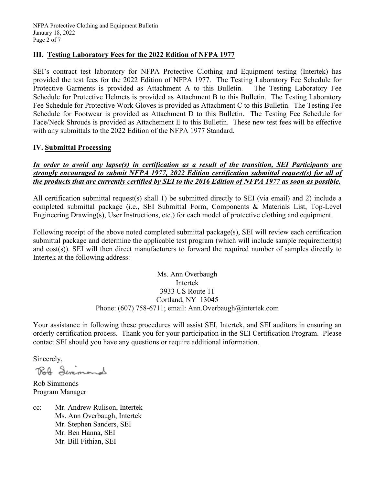#### **III. Testing Laboratory Fees for the 2022 Edition of NFPA 1977**

SEI's contract test laboratory for NFPA Protective Clothing and Equipment testing (Intertek) has provided the test fees for the 2022 Edition of NFPA 1977. The Testing Laboratory Fee Schedule for Protective Garments is provided as Attachment A to this Bulletin. The Testing Laboratory Fee Schedule for Protective Helmets is provided as Attachment B to this Bulletin. The Testing Laboratory Fee Schedule for Protective Work Gloves is provided as Attachment C to this Bulletin. The Testing Fee Schedule for Footwear is provided as Attachment D to this Bulletin. The Testing Fee Schedule for Face/Neck Shrouds is provided as Attachement E to this Bulletin. These new test fees will be effective with any submittals to the 2022 Edition of the NFPA 1977 Standard.

#### **IV. Submittal Processing**

### *In order to avoid any lapse(s) in certification as a result of the transition, SEI Participants are strongly encouraged to submit NFPA 1977, 2022 Edition certification submittal request(s) for all of the products that are currently certified by SEI to the 2016 Edition of NFPA 1977 as soon as possible.*

All certification submittal request(s) shall 1) be submitted directly to SEI (via email) and 2) include a completed submittal package (i.e., SEI Submittal Form, Components & Materials List, Top-Level Engineering Drawing(s), User Instructions, etc.) for each model of protective clothing and equipment.

Following receipt of the above noted completed submittal package(s), SEI will review each certification submittal package and determine the applicable test program (which will include sample requirement(s) and cost(s)). SEI will then direct manufacturers to forward the required number of samples directly to Intertek at the following address:

#### Ms. Ann Overbaugh Intertek 3933 US Route 11 Cortland, NY 13045 Phone: (607) 758-6711; email: Ann.Overbaugh@intertek.com

Your assistance in following these procedures will assist SEI, Intertek, and SEI auditors in ensuring an orderly certification process. Thank you for your participation in the SEI Certification Program. Please contact SEI should you have any questions or require additional information.

Sincerely,

Rob Semmand

Rob Simmonds Program Manager

cc: Mr. Andrew Rulison, Intertek Ms. Ann Overbaugh, Intertek Mr. Stephen Sanders, SEI Mr. Ben Hanna, SEI Mr. Bill Fithian, SEI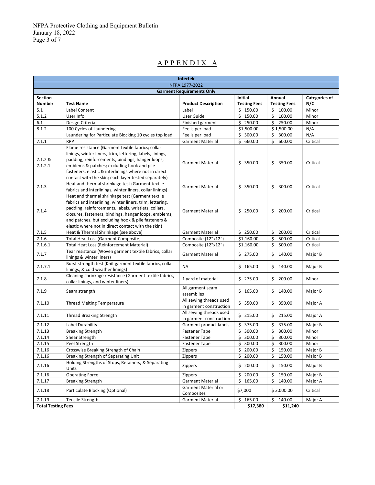## A P P E N D I X A

| <b>Intertek</b>                  |                                                                                                                                                                                                                                                                                                                                           |                                                    |                     |                     |               |  |
|----------------------------------|-------------------------------------------------------------------------------------------------------------------------------------------------------------------------------------------------------------------------------------------------------------------------------------------------------------------------------------------|----------------------------------------------------|---------------------|---------------------|---------------|--|
| NFPA 1977-2022                   |                                                                                                                                                                                                                                                                                                                                           |                                                    |                     |                     |               |  |
| <b>Garment Requirements Only</b> |                                                                                                                                                                                                                                                                                                                                           |                                                    |                     |                     |               |  |
| <b>Section</b>                   |                                                                                                                                                                                                                                                                                                                                           |                                                    | Initial             | Annual              | Categories of |  |
| <b>Number</b>                    | <b>Test Name</b>                                                                                                                                                                                                                                                                                                                          | <b>Product Description</b>                         | <b>Testing Fees</b> | <b>Testing Fees</b> | N/C           |  |
| 5.1                              | Label Content                                                                                                                                                                                                                                                                                                                             | Label                                              | \$150.00            | \$<br>100.00        | Minor         |  |
| 5.1.2                            | User Info                                                                                                                                                                                                                                                                                                                                 | User Guide                                         | \$150.00            | \$<br>100.00        | Minor         |  |
| 6.1                              | Design Criteria                                                                                                                                                                                                                                                                                                                           | Finished garment                                   | \$250.00            | \$<br>250.00        | Minor         |  |
| 8.1.2                            | 100 Cycles of Laundering                                                                                                                                                                                                                                                                                                                  | Fee is per load                                    | \$1,500.00          | \$1,500.00          | N/A           |  |
|                                  | Laundering for Particulate Blocking 10 cycles top load                                                                                                                                                                                                                                                                                    | Fee is per load                                    | \$300.00            | \$<br>300.00        | N/A           |  |
| 7.1.1                            | <b>RPP</b>                                                                                                                                                                                                                                                                                                                                | <b>Garment Material</b>                            | 660.00<br>\$        | \$<br>600.00        | Critical      |  |
| 7.1.2 &<br>7.1.2.1               | Flame resistance (Garment textile fabrics; collar<br>linings, winter liners, trim, lettering, labels, linings,<br>padding, reinforcements, bindings, hanger loops,<br>emblems & patches; excluding hook and pile<br>fasteners, elastic & interlinings where not in direct<br>contact with the skin; each layer tested separately)         | <b>Garment Material</b>                            | \$350.00            | \$350.00            | Critical      |  |
| 7.1.3                            | Heat and thermal shrinkage test (Garment textile<br>fabrics and interlinings, winter liners, collar linings)                                                                                                                                                                                                                              | <b>Garment Material</b>                            | \$350.00            | \$300.00            | Critical      |  |
| 7.1.4                            | Heat and thermal shrinkage test (Garment textile<br>fabrics and interlining, winter liners, trim, lettering,<br>padding, reinforcements, labels, wristlets, collars,<br>closures, fasteners, bindings, hanger loops, emblems,<br>and patches, but excluding hook & pile fasteners &<br>elastic where not in direct contact with the skin) | <b>Garment Material</b>                            | \$250.00            | \$200.00            | Critical      |  |
| 7.1.5                            | Heat & Thermal Shrinkage (see above)                                                                                                                                                                                                                                                                                                      | <b>Garment Material</b>                            | \$250.00            | \$<br>200.00        | Critical      |  |
| 7.1.6                            | Total Heat Loss (Garment Composite)                                                                                                                                                                                                                                                                                                       | Composite (12"x12")                                | \$1,160.00          | \$<br>500.00        | Critical      |  |
| 7.1.6.1                          | <b>Total Heat Loss (Reinforcement Material)</b>                                                                                                                                                                                                                                                                                           | Composite (12"x12")                                | \$1,160.00          | \$<br>500.00        | Critical      |  |
| 7.1.7                            | Tear resistance (Woven garment textile fabrics, collar<br>linings & winter liners)                                                                                                                                                                                                                                                        | <b>Garment Material</b>                            | \$275.00            | 140.00<br>\$        | Major B       |  |
| 7.1.7.1                          | Burst strength test (Knit garment textile fabrics, collar<br>linings, & cold weather linings)                                                                                                                                                                                                                                             | NA                                                 | \$165.00            | \$140.00            | Major B       |  |
| 7.1.8                            | Cleaning shrinkage resistance (Garment textile fabrics,<br>collar linings, and winter liners)                                                                                                                                                                                                                                             | 1 yard of material                                 | \$275.00            | \$200.00            | Minor         |  |
| 7.1.9                            | Seam strength                                                                                                                                                                                                                                                                                                                             | All garment seam<br>assemblies                     | \$165.00            | \$140.00            | Major B       |  |
| 7.1.10                           | <b>Thread Melting Temperature</b>                                                                                                                                                                                                                                                                                                         | All sewing threads used<br>in garment construction | \$350.00            | \$350.00            | Major A       |  |
| 7.1.11                           | <b>Thread Breaking Strength</b>                                                                                                                                                                                                                                                                                                           | All sewing threads used<br>in garment construction | \$215.00            | \$215.00            | Major A       |  |
| 7.1.12                           | Label Durability                                                                                                                                                                                                                                                                                                                          | Garment product labels                             | \$375.00            | \$<br>375.00        | Major B       |  |
| 7.1.13                           | <b>Breaking Strength</b>                                                                                                                                                                                                                                                                                                                  | <b>Fastener Tape</b>                               | \$<br>300.00        | \$<br>300.00        | Minor         |  |
| 7.1.14                           | Shear Strength                                                                                                                                                                                                                                                                                                                            | <b>Fastener Tape</b>                               | \$300.00            | \$<br>300.00        | Minor         |  |
| 7.1.15                           | Peel Strength                                                                                                                                                                                                                                                                                                                             | <b>Fastener Tape</b>                               | \$300.00            | \$<br>300.00        | Minor         |  |
| 7.1.16                           | Crosswise Breaking Strength of Chain                                                                                                                                                                                                                                                                                                      | Zippers                                            | \$200.00            | \$150.00            | Major B       |  |
| 7.1.16                           | Breaking Strength of Separating Unit                                                                                                                                                                                                                                                                                                      | Zippers                                            | \$200.00            | \$<br>150.00        | Major B       |  |
| 7.1.16                           | Holding Strengths of Stops, Retainers, & Separating<br>Units                                                                                                                                                                                                                                                                              | Zippers                                            | \$200.00            | \$150.00            | Major B       |  |
| 7.1.16                           | <b>Operating Force</b>                                                                                                                                                                                                                                                                                                                    | Zippers                                            | \$200.00            | \$<br>150.00        | Major B       |  |
| 7.1.17                           | <b>Breaking Strength</b>                                                                                                                                                                                                                                                                                                                  | <b>Garment Material</b>                            | \$165.00            | \$<br>140.00        | Major A       |  |
| 7.1.18                           | Particulate Blocking (Optional)                                                                                                                                                                                                                                                                                                           | Garment Material or<br>Composites                  | \$7,000             | \$3,000.00          | Critical      |  |
| 7.1.19                           | Tensile Strength                                                                                                                                                                                                                                                                                                                          | <b>Garment Material</b>                            | \$165.00            | \$140.00            | Major A       |  |
| <b>Total Testing Fees</b>        |                                                                                                                                                                                                                                                                                                                                           |                                                    | \$17,380            | \$11,240            |               |  |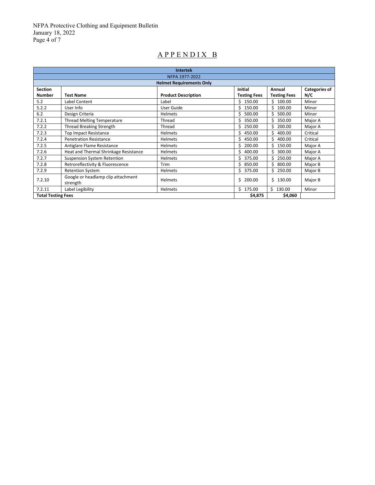## A P P E N D I X B

| <b>Intertek</b>           |                                                |                                 |                     |                     |          |
|---------------------------|------------------------------------------------|---------------------------------|---------------------|---------------------|----------|
| NFPA 1977-2022            |                                                |                                 |                     |                     |          |
|                           |                                                | <b>Helmet Requirements Only</b> |                     |                     |          |
| <b>Section</b>            | Initial<br><b>Categories of</b><br>Annual      |                                 |                     |                     |          |
| <b>Number</b>             | <b>Test Name</b>                               | <b>Product Description</b>      | <b>Testing Fees</b> | <b>Testing Fees</b> | N/C      |
| 5.2                       | Label Content                                  | Label                           | \$150.00            | \$.<br>100.00       | Minor    |
| 5.2.2                     | User Info                                      | User Guide                      | 150.00<br>S.        | \$<br>100.00        | Minor    |
| 6.2                       | Design Criteria                                | <b>Helmets</b>                  | Ś.<br>500.00        | Ś<br>500.00         | Minor    |
| 7.2.1                     | <b>Thread Melting Temperature</b>              | Thread                          | Ś.<br>350.00        | Ś<br>350.00         | Major A  |
| 7.2.2                     | <b>Thread Breaking Strength</b>                | Thread                          | Ś.<br>250.00        | Ś<br>200.00         | Major A  |
| 7.2.3                     | <b>Top Impact Resistance</b>                   | <b>Helmets</b>                  | 450.00<br>Ś.        | \$<br>400.00        | Critical |
| 7.2.4                     | <b>Penetration Resistance</b>                  | <b>Helmets</b>                  | Ś.<br>450.00        | Ś<br>400.00         | Critical |
| 7.2.5                     | Antiglare Flame Resistance                     | <b>Helmets</b>                  | \$<br>200.00        | \$<br>150.00        | Major A  |
| 7.2.6                     | Heat and Thermal Shrinkage Resistance          | <b>Helmets</b>                  | \$<br>400.00        | \$<br>300.00        | Major A  |
| 7.2.7                     | Suspension System Retention                    | Helmets                         | 375.00<br>Š.        | \$<br>250.00        | Major A  |
| 7.2.8                     | Retroreflectivity & Fluorescence               | <b>Trim</b>                     | Ś.<br>850.00        | Ś.<br>800.00        | Major B  |
| 7.2.9                     | <b>Retention System</b>                        | <b>Helmets</b>                  | \$375.00            | Ś.<br>250.00        | Major B  |
| 7.2.10                    | Google or headlamp clip attachment<br>strength | Helmets                         | 200.00<br>Ś         | Ś<br>130.00         | Major B  |
| 7.2.11                    | Label Legibility                               | <b>Helmets</b>                  | \$175.00            | \$130.00            | Minor    |
| <b>Total Testing Fees</b> |                                                | \$4,875                         | \$4,060             |                     |          |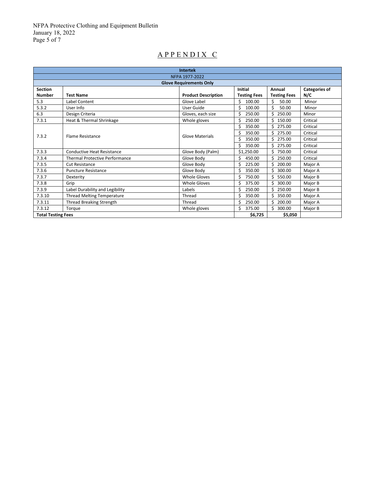NFPA Protective Clothing and Equipment Bulletin January 18, 2022 Page 5 of 7

# A P P E N D I X C

| <b>Intertek</b>                |                                       |                            |                     |                     |                      |
|--------------------------------|---------------------------------------|----------------------------|---------------------|---------------------|----------------------|
| NFPA 1977-2022                 |                                       |                            |                     |                     |                      |
| <b>Glove Requirements Only</b> |                                       |                            |                     |                     |                      |
| <b>Section</b>                 |                                       |                            | <b>Initial</b>      | Annual              | <b>Categories of</b> |
| <b>Number</b>                  | <b>Test Name</b>                      | <b>Product Description</b> | <b>Testing Fees</b> | <b>Testing Fees</b> | N/C                  |
| 5.3                            | Label Content                         | Glove Label                | ς<br>100.00         | Ś<br>50.00          | Minor                |
| 5.3.2                          | User Info                             | User Guide                 | Ś<br>100.00         | Ś<br>50.00          | Minor                |
| 6.3                            | Design Criteria                       | Gloves, each size          | 250.00              | 250.00              | Minor                |
| 7.3.1                          | Heat & Thermal Shrinkage              | Whole gloves               | Ś<br>250.00         | Ś<br>150.00         | Critical             |
|                                | <b>Flame Resistance</b>               | <b>Glove Materials</b>     | 350.00<br>Ś         | \$<br>275.00        | Critical             |
|                                |                                       |                            | Ś<br>350.00         | Ś.<br>275.00        | Critical             |
| 7.3.2                          |                                       |                            | Ś<br>350.00         | Ś.<br>275.00        | Critical             |
|                                |                                       |                            | Ś<br>350.00         | 275.00              | Critical             |
| 7.3.3                          | Conductive Heat Resistance            | Glove Body (Palm)          | \$1,250.00          | 750.00              | Critical             |
| 7.3.4                          | <b>Thermal Protective Performance</b> | Glove Body                 | Ś<br>450.00         | 250.00              | Critical             |
| 7.3.5                          | Cut Resistance                        | Glove Body                 | 225.00              | 200.00              | Major A              |
| 7.3.6                          | <b>Puncture Resistance</b>            | Glove Body                 | 350.00<br>Ś         | Ś.<br>300.00        | Major A              |
| 7.3.7                          | Dexterity                             | <b>Whole Gloves</b>        | Ś<br>750.00         | Ś<br>550.00         | Major B              |
| 7.3.8                          | Grip                                  | <b>Whole Gloves</b>        | Ś<br>375.00         | Ś<br>300.00         | Major B              |
| 7.3.9                          | Label Durability and Legibility       | Labels                     | Ś<br>250.00         | 250.00              | Major B              |
| 7.3.10                         | <b>Thread Melting Temperature</b>     | Thread                     | Ś<br>350.00         | Ś.<br>350.00        | Major A              |
| 7.3.11                         | Thread Breaking Strength              | Thread                     | 250.00              | 200.00              | Major A              |
| 7.3.12                         | Torque                                | Whole gloves               | Ś<br>375.00         | Ś.<br>300.00        | Major B              |
| <b>Total Testing Fees</b>      |                                       |                            | \$6,725             | \$5,050             |                      |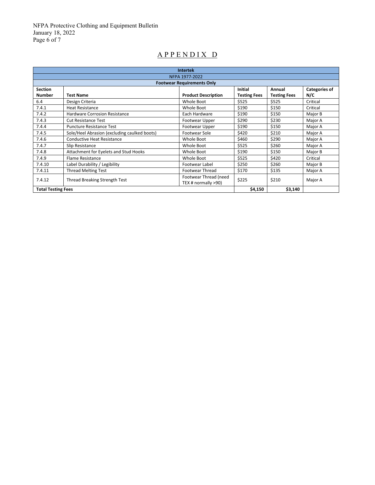NFPA Protective Clothing and Equipment Bulletin January 18, 2022 Page 6 of 7

## A P P E N D I X D

| <b>Intertek</b>           |                                              |                                              |                     |                     |                      |
|---------------------------|----------------------------------------------|----------------------------------------------|---------------------|---------------------|----------------------|
| NFPA 1977-2022            |                                              |                                              |                     |                     |                      |
|                           |                                              | <b>Footwear Requirements Only</b>            |                     |                     |                      |
| <b>Section</b>            |                                              |                                              | Initial             | Annual              | <b>Categories of</b> |
| <b>Number</b>             | <b>Test Name</b>                             | <b>Product Description</b>                   | <b>Testing Fees</b> | <b>Testing Fees</b> | N/C                  |
| 6.4                       | Design Criteria                              | Whole Boot                                   | \$525               | \$525               | Critical             |
| 7.4.1                     | <b>Heat Resistance</b>                       | Whole Boot                                   | \$190               | \$150               | Critical             |
| 7.4.2                     | <b>Hardware Corrosion Resistance</b>         | Each Hardware                                | \$190               | \$150               | Major B              |
| 7.4.3                     | <b>Cut Resistance Test</b>                   | Footwear Upper                               | \$290               | \$230               | Major A              |
| 7.4.4                     | <b>Puncture Resistance Test</b>              | Footwear Upper                               | \$190               | \$150               | Major A              |
| 7.4.5                     | Sole/Heel Abrasion (excluding caulked boots) | Footwear Sole                                | \$420               | \$210               | Major A              |
| 7.4.6                     | Conductive Heat Resistance                   | Whole Boot                                   | \$460               | \$290               | Major A              |
| 7.4.7                     | Slip Resistance                              | Whole Boot                                   | \$525               | \$260               | Major A              |
| 7.4.8                     | Attachment for Eyelets and Stud Hooks        | Whole Boot                                   | \$190               | \$150               | Major B              |
| 7.4.9                     | <b>Flame Resistance</b>                      | Whole Boot                                   | \$525               | \$420               | Critical             |
| 7.4.10                    | Label Durability / Legibility                | Footwear Label                               | \$250               | \$260               | Major B              |
| 7.4.11                    | <b>Thread Melting Test</b>                   | <b>Footwear Thread</b>                       | \$170               | \$135               | Major A              |
| 7.4.12                    | <b>Thread Breaking Strength Test</b>         | Footwear Thread (need<br>TEX # normally >90) | \$225               | \$210               | Major A              |
| <b>Total Testing Fees</b> |                                              | \$4,150                                      | \$3,140             |                     |                      |